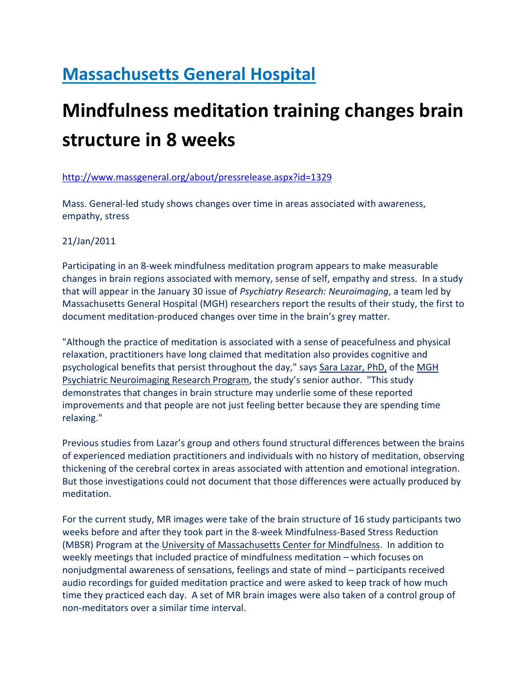## Massachusetts General Hospital

## Mindfulness meditation training changes brain structure in 8 weeks

## http://www.massgeneral.org/about/pressrelease.aspx?id=1329

Mass. General-led study shows changes over time in areas associated with awareness, empathy, stress

## 21/Jan/2011

Participating in an 8-week mindfulness meditation program appears to make measurable changes in brain regions associated with memory, sense of self, empathy and stress. In a study that will appear in the January 30 issue of Psychiatry Research: Neuroimaging, a team led by Massachusetts General Hospital (MGH) researchers report the results of their study, the first to document meditation-produced changes over time in the brain's grey matter.

"Although the practice of meditation is associated with a sense of peacefulness and physical relaxation, practitioners have long claimed that meditation also provides cognitive and psychological benefits that persist throughout the day," says Sara Lazar, PhD, of the MGH Psychiatric Neuroimaging Research Program, the study's senior author. "This study demonstrates that changes in brain structure may underlie some of these reported improvements and that people are not just feeling better because they are spending time relaxing."

Previous studies from Lazar's group and others found structural differences between the brains of experienced mediation practitioners and individuals with no history of meditation, observing thickening of the cerebral cortex in areas associated with attention and emotional integration. But those investigations could not document that those differences were actually produced by meditation.

For the current study, MR images were take of the brain structure of 16 study participants two weeks before and after they took part in the 8-week Mindfulness-Based Stress Reduction (MBSR) Program at the University of Massachusetts Center for Mindfulness. In addition to weekly meetings that included practice of mindfulness meditation – which focuses on nonjudgmental awareness of sensations, feelings and state of mind – participants received audio recordings for guided meditation practice and were asked to keep track of how much time they practiced each day. A set of MR brain images were also taken of a control group of non-meditators over a similar time interval.